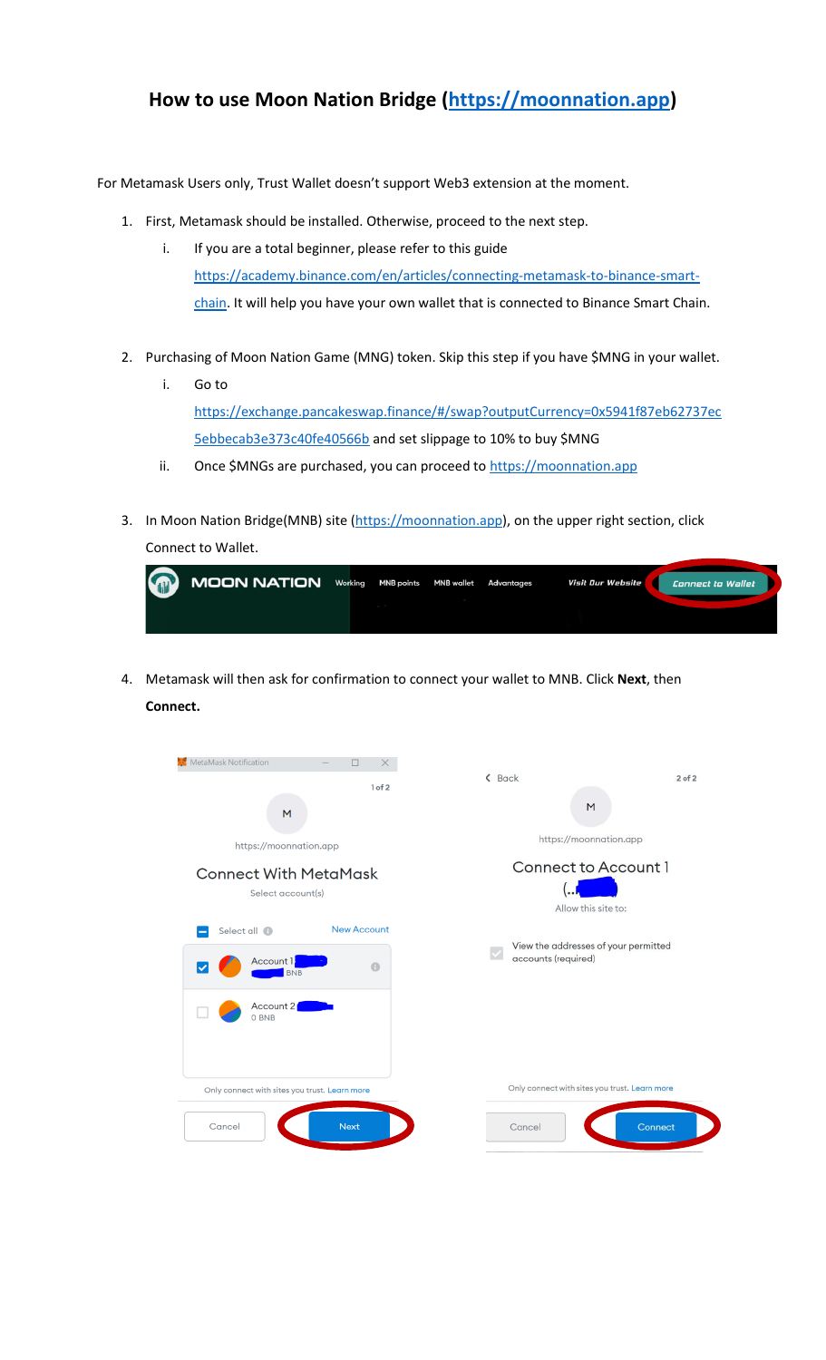## **How to use Moon Nation Bridge [\(https://moonnation.app\)](https://moonnation.app/)**

For Metamask Users only, Trust Wallet doesn't support Web3 extension at the moment.

- 1. First, Metamask should be installed. Otherwise, proceed to the next step.
	- i. If you are a total beginner, please refer to this guide [https://academy.binance.com/en/articles/connecting-metamask-to-binance-smart](https://academy.binance.com/en/articles/connecting-metamask-to-binance-smart-chain)[chain.](https://academy.binance.com/en/articles/connecting-metamask-to-binance-smart-chain) It will help you have your own wallet that is connected to Binance Smart Chain.
- 2. Purchasing of Moon Nation Game (MNG) token. Skip this step if you have \$MNG in your wallet.
	- i. Go to [https://exchange.pancakeswap.finance/#/swap?outputCurrency=0x5941f87eb62737ec](https://exchange.pancakeswap.finance/#/swap?outputCurrency=0x5941f87eb62737ec5ebbecab3e373c40fe40566b) [5ebbecab3e373c40fe40566b](https://exchange.pancakeswap.finance/#/swap?outputCurrency=0x5941f87eb62737ec5ebbecab3e373c40fe40566b) and set slippage to 10% to buy \$MNG
	- ii. Once \$MNGs are purchased, you can proceed to [https://moonnation.app](https://moonnation.app/)
- 3. In Moon Nation Bridge(MNB) site [\(https://moonnation.app\)](https://moonnation.app/), on the upper right section, click Connect to Wallet.

| G | MOON NATION Working MNB points MNB wallet Advantages |  |  | Visit Our Website | Connect to Wallet |
|---|------------------------------------------------------|--|--|-------------------|-------------------|
|   |                                                      |  |  |                   |                   |

4. Metamask will then ask for confirmation to connect your wallet to MNB. Click **Next**, then **Connect.**

| MetaMask Notification<br>$\Box$<br>$\times$<br>1 of 2<br>M<br>https://moonnation.app          | < Back<br>$2$ of $2$<br>M<br>https://moonnation.app                |
|-----------------------------------------------------------------------------------------------|--------------------------------------------------------------------|
| <b>Connect With MetaMask</b><br>Select account(s)<br><b>New Account</b>                       | <b>Connect to Account 1</b><br>Allow this site to:                 |
| Select all <sup>6</sup><br>Account 1<br>$\bigoplus$<br>∣✓<br><b>BNB</b><br>Account 2<br>0 BNB | View the addresses of your permitted<br>accounts (required)        |
| Only connect with sites you trust. Learn more<br><b>Next</b><br>Cancel                        | Only connect with sites you trust. Learn more<br>Connect<br>Cancel |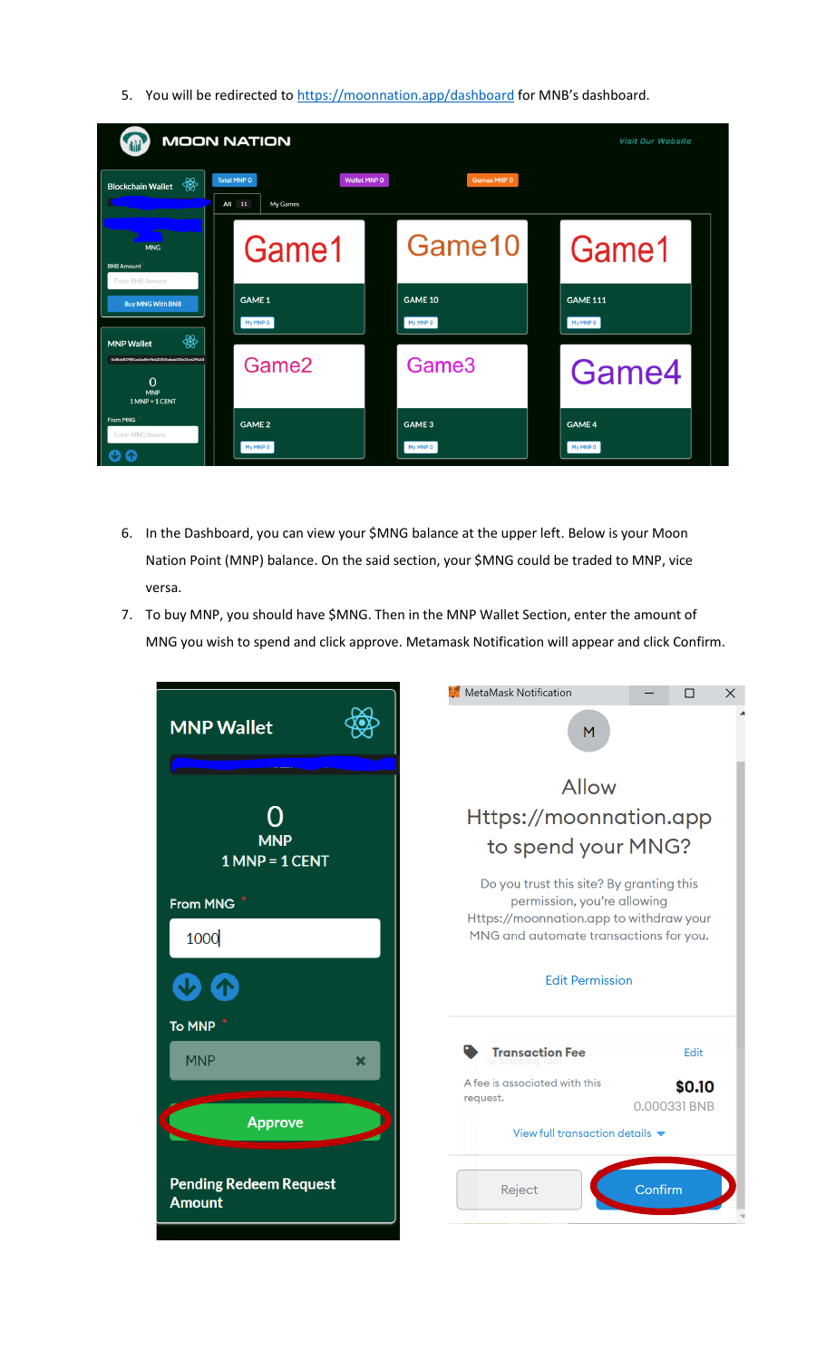5. You will be redirected to<https://moonnation.app/dashboard> for MNB's dashboard.

| <b>MOON NATION</b><br><b>AN</b>                                                                                  | <b>Visit Our Website</b>                                        |                            |                             |
|------------------------------------------------------------------------------------------------------------------|-----------------------------------------------------------------|----------------------------|-----------------------------|
| ₩<br><b>Blockchain Wallet</b>                                                                                    | <b>Total MNP 0</b><br><b>Wallet MNP O</b><br>All 11<br>My Games | <b>Games MNP 0</b>         |                             |
| <b>MNG</b><br><b>BNB Amount</b><br><b>Enter BNB Amount</b>                                                       | Game1                                                           | Game10                     | Game1                       |
| <b>Buy MNG With BNB</b>                                                                                          | <b>GAME 1</b><br>My MNP O                                       | <b>GAME 10</b><br>My MNP O | <b>GAME 111</b><br>My MNP O |
| ₩<br><b>MNP Wallet</b><br>0x8bb107f814a4b69a9b620551e6eb00b33a439463<br>$\Omega$<br><b>MNP</b><br>1 MNP = 1 CENT | Game <sub>2</sub>                                               | Game <sub>3</sub>          | Game4                       |
| From MNG<br>Enter MNG tokens                                                                                     | <b>GAME 2</b><br>My MNP O                                       | <b>GAME 3</b><br>My MNP O  | <b>GAME 4</b><br>My MNP O   |

- 6. In the Dashboard, you can view your \$MNG balance at the upper left. Below is your Moon Nation Point (MNP) balance. On the said section, your \$MNG could be traded to MNP, vice versa.
- 7. To buy MNP, you should have \$MNG. Then in the MNP Wallet Section, enter the amount of MNG you wish to spend and click approve. Metamask Notification will appear and click Confirm.